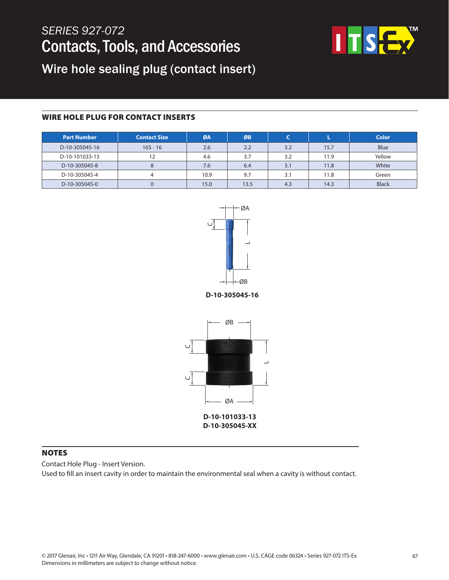# *SERIES 927-072* Contacts, Tools, and Accessories



Wire hole sealing plug (contact insert)

### WIRE HOLE PLUG FOR CONTACT INSERTS

| <b>Part Number</b> | <b>Contact Size</b> | ØA   | ØB   |     |      | <b>Color</b> |
|--------------------|---------------------|------|------|-----|------|--------------|
| D-10-305045-16     | $16S - 16$          | 2.6  | 2.2  | 3.2 | 15.7 | <b>Blue</b>  |
| D-10-101033-13     | 12                  | 4.6  | 3.7  | 3.2 | 11.9 | Yellow       |
| D-10-305045-8      |                     | 7.6  | 6.4  | 3.1 | 11.8 | White        |
| D-10-305045-4      |                     | 10.9 | 9.7  | 3.1 | 11.8 | Green        |
| D-10-305045-0      |                     | 15.0 | 13.5 | 4.3 | 14.3 | <b>Black</b> |



**D-10-305045-16**



### NOTES

Contact Hole Plug - Insert Version.

Used to fill an insert cavity in order to maintain the environmental seal when a cavity is without contact.